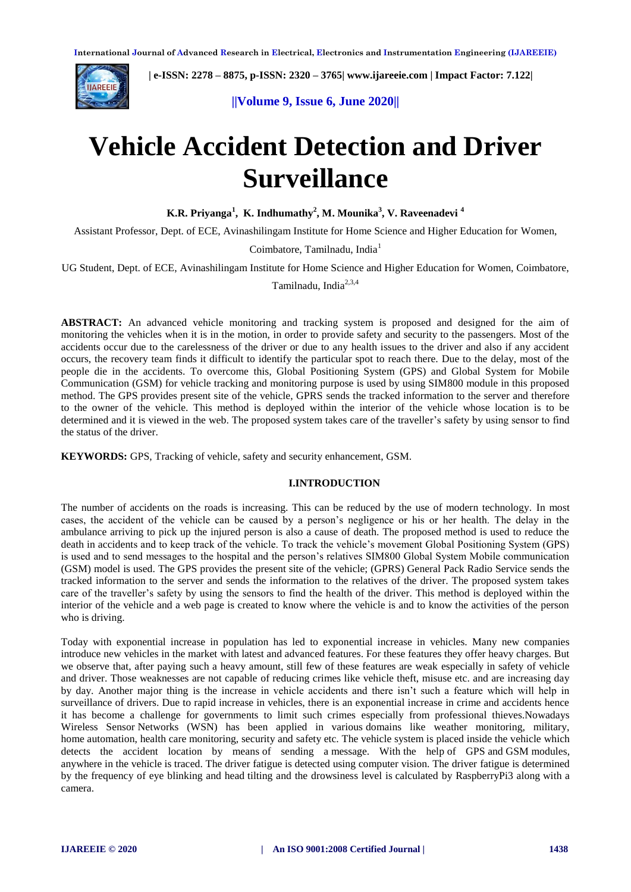

 **| e-ISSN: 2278 – 8875, p-ISSN: 2320 – 3765[| www.ijareeie.com](http://www.ijareeie.com/) | Impact Factor: 7.122|** 

**||Volume 9, Issue 6, June 2020||** 

# **Vehicle Accident Detection and Driver Surveillance**

**K.R. Priyanga<sup>1</sup> , K. Indhumathy<sup>2</sup> , M. Mounika<sup>3</sup> , V. Raveenadevi <sup>4</sup>**

Assistant Professor, Dept. of ECE, Avinashilingam Institute for Home Science and Higher Education for Women,

Coimbatore, Tamilnadu, India<sup>1</sup>

UG Student, Dept. of ECE, Avinashilingam Institute for Home Science and Higher Education for Women, Coimbatore,

Tamilnadu, India<sup>2,3,4</sup>

**ABSTRACT:** An advanced vehicle monitoring and tracking system is proposed and designed for the aim of monitoring the vehicles when it is in the motion, in order to provide safety and security to the passengers. Most of the accidents occur due to the carelessness of the driver or due to any health issues to the driver and also if any accident occurs, the recovery team finds it difficult to identify the particular spot to reach there. Due to the delay, most of the people die in the accidents. To overcome this, Global Positioning System (GPS) and Global System for Mobile Communication (GSM) for vehicle tracking and monitoring purpose is used by using SIM800 module in this proposed method. The GPS provides present site of the vehicle, GPRS sends the tracked information to the server and therefore to the owner of the vehicle. This method is deployed within the interior of the vehicle whose location is to be determined and it is viewed in the web. The proposed system takes care of the traveller's safety by using sensor to find the status of the driver.

**KEYWORDS:** GPS, Tracking of vehicle, safety and security enhancement, GSM.

#### **I.INTRODUCTION**

The number of accidents on the roads is increasing. This can be reduced by the use of modern technology. In most cases, the accident of the vehicle can be caused by a person's negligence or his or her health. The delay in the ambulance arriving to pick up the injured person is also a cause of death. The proposed method is used to reduce the death in accidents and to keep track of the vehicle. To track the vehicle's movement Global Positioning System (GPS) is used and to send messages to the hospital and the person's relatives SIM800 Global System Mobile communication (GSM) model is used. The GPS provides the present site of the vehicle; (GPRS) General Pack Radio Service sends the tracked information to the server and sends the information to the relatives of the driver. The proposed system takes care of the traveller's safety by using the sensors to find the health of the driver. This method is deployed within the interior of the vehicle and a web page is created to know where the vehicle is and to know the activities of the person who is driving.

Today with exponential increase in population has led to exponential increase in vehicles. Many new companies introduce new vehicles in the market with latest and advanced features. For these features they offer heavy charges. But we observe that, after paying such a heavy amount, still few of these features are weak especially in safety of vehicle and driver. Those weaknesses are not capable of reducing crimes like vehicle theft, misuse etc. and are increasing day by day. Another major thing is the increase in vehicle accidents and there isn't such a feature which will help in surveillance of drivers. Due to rapid increase in vehicles, there is an exponential increase in crime and accidents hence it has become a challenge for governments to limit such crimes especially from professional thieves.Nowadays Wireless Sensor Networks (WSN) has been applied in various domains like weather monitoring, military, home automation, health care monitoring, security and safety etc. The vehicle system is placed inside the vehicle which detects the accident location by means of sending a message. With the help of GPS and GSM modules, anywhere in the vehicle is traced. The driver fatigue is detected using computer vision. The driver fatigue is determined by the frequency of eye blinking and head tilting and the drowsiness level is calculated by RaspberryPi3 along with a camera.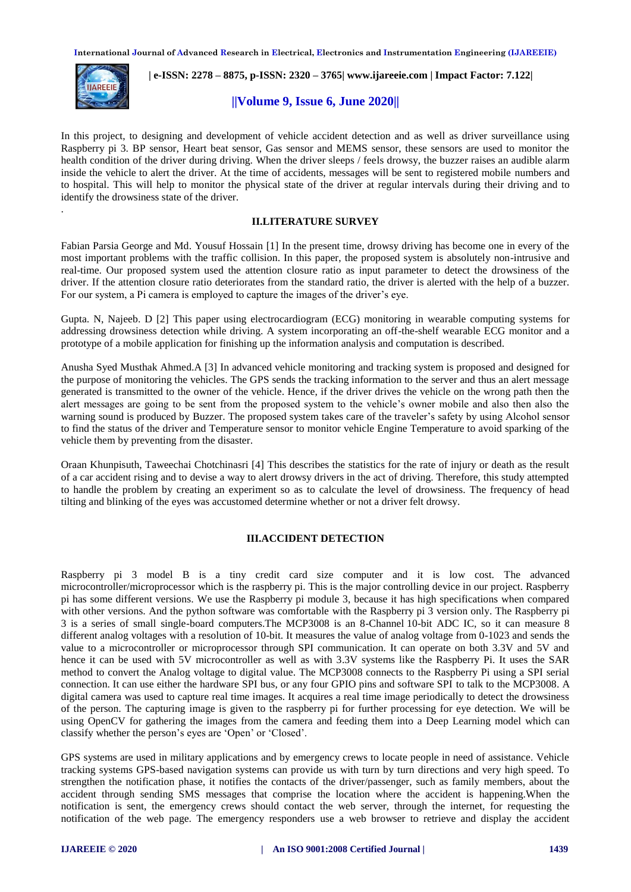

.

 **| e-ISSN: 2278 – 8875, p-ISSN: 2320 – 3765[| www.ijareeie.com](http://www.ijareeie.com/) | Impact Factor: 7.122|** 

# **||Volume 9, Issue 6, June 2020||**

In this project, to designing and development of vehicle accident detection and as well as driver surveillance using Raspberry pi 3. BP sensor, Heart beat sensor, Gas sensor and MEMS sensor, these sensors are used to monitor the health condition of the driver during driving. When the driver sleeps / feels drowsy, the buzzer raises an audible alarm inside the vehicle to alert the driver. At the time of accidents, messages will be sent to registered mobile numbers and to hospital. This will help to monitor the physical state of the driver at regular intervals during their driving and to identify the drowsiness state of the driver.

## **II.LITERATURE SURVEY**

Fabian Parsia George and Md. Yousuf Hossain [1] In the present time, drowsy driving has become one in every of the most important problems with the traffic collision. In this paper, the proposed system is absolutely non-intrusive and real-time. Our proposed system used the attention closure ratio as input parameter to detect the drowsiness of the driver. If the attention closure ratio deteriorates from the standard ratio, the driver is alerted with the help of a buzzer. For our system, a Pi camera is employed to capture the images of the driver's eye.

Gupta. N, Najeeb. D [2] This paper using electrocardiogram (ECG) monitoring in wearable computing systems for addressing drowsiness detection while driving. A system incorporating an off-the-shelf wearable ECG monitor and a prototype of a mobile application for finishing up the information analysis and computation is described.

Anusha Syed Musthak Ahmed.A [3] In advanced vehicle monitoring and tracking system is proposed and designed for the purpose of monitoring the vehicles. The GPS sends the tracking information to the server and thus an alert message generated is transmitted to the owner of the vehicle. Hence, if the driver drives the vehicle on the wrong path then the alert messages are going to be sent from the proposed system to the vehicle's owner mobile and also then also the warning sound is produced by Buzzer. The proposed system takes care of the traveler's safety by using Alcohol sensor to find the status of the driver and Temperature sensor to monitor vehicle Engine Temperature to avoid sparking of the vehicle them by preventing from the disaster.

Oraan Khunpisuth, Taweechai Chotchinasri [4] This describes the statistics for the rate of injury or death as the result of a car accident rising and to devise a way to alert drowsy drivers in the act of driving. Therefore, this study attempted to handle the problem by creating an experiment so as to calculate the level of drowsiness. The frequency of head tilting and blinking of the eyes was accustomed determine whether or not a driver felt drowsy.

## **III.ACCIDENT DETECTION**

Raspberry pi 3 model B is a tiny credit card size computer and it is low cost. The advanced microcontroller/microprocessor which is the raspberry pi. This is the major controlling device in our project. Raspberry pi has some different versions. We use the Raspberry pi module 3, because it has high specifications when compared with other versions. And the python software was comfortable with the Raspberry pi 3 version only. The Raspberry pi 3 is a series of small single-board computers.The MCP3008 is an 8-Channel 10-bit ADC IC, so it can measure 8 different analog voltages with a resolution of 10-bit. It measures the value of analog voltage from 0-1023 and sends the value to a microcontroller or microprocessor through SPI communication. It can operate on both 3.3V and 5V and hence it can be used with 5V microcontroller as well as with 3.3V systems like the Raspberry Pi. It uses the SAR method to convert the Analog voltage to digital value. The MCP3008 connects to the Raspberry Pi using a SPI serial connection. It can use either the hardware SPI bus, or any four GPIO pins and software SPI to talk to the MCP3008. A digital camera was used to capture real time images. It acquires a real time image periodically to detect the drowsiness of the person. The capturing image is given to the raspberry pi for further processing for eye detection. We will be using OpenCV for gathering the images from the camera and feeding them into a [Deep Learning](https://data-flair.training/blogs/deep-learning-tutorial/) model which can classify whether the person's eyes are 'Open' or 'Closed'.

GPS systems are used in military applications and by emergency crews to locate people in need of assistance. Vehicle tracking systems GPS-based navigation systems can provide us with turn by turn directions and very high speed. To strengthen the notification phase, it notifies the contacts of the driver/passenger, such as family members, about the accident through sending SMS messages that comprise the location where the accident is happening.When the notification is sent, the emergency crews should contact the web server, through the internet, for requesting the notification of the web page. The emergency responders use a web browser to retrieve and display the accident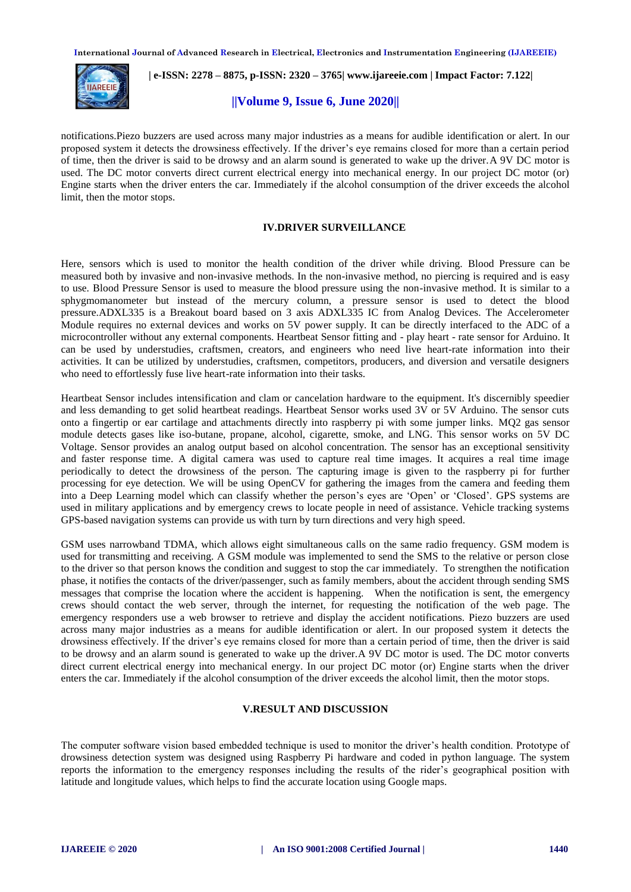

 **| e-ISSN: 2278 – 8875, p-ISSN: 2320 – 3765[| www.ijareeie.com](http://www.ijareeie.com/) | Impact Factor: 7.122|** 

# **||Volume 9, Issue 6, June 2020||**

notifications.Piezo buzzers are used across many major industries as a means for audible identification or alert. In our proposed system it detects the drowsiness effectively. If the driver's eye remains closed for more than a certain period of time, then the driver is said to be drowsy and an alarm sound is generated to wake up the driver.A 9V DC motor is used. The DC motor converts direct current electrical energy into mechanical energy. In our project DC motor (or) Engine starts when the driver enters the car. Immediately if the alcohol consumption of the driver exceeds the alcohol limit, then the motor stops.

#### **IV.DRIVER SURVEILLANCE**

Here, sensors which is used to monitor the health condition of the driver while driving. Blood Pressure can be measured both by invasive and non-invasive methods. In the non-invasive method, no piercing is required and is easy to use. Blood Pressure Sensor is used to measure the blood pressure using the non-invasive method. It is similar to a sphygmomanometer but instead of the mercury column, a pressure sensor is used to detect the blood pressure.ADXL335 is a Breakout board based on 3 axis ADXL335 IC from Analog Devices. The Accelerometer Module requires no external devices and works on 5V power supply. It can be directly interfaced to the ADC of a microcontroller without any external components. Heartbeat Sensor fitting and - play heart - rate sensor for Arduino. It can be used by understudies, craftsmen, creators, and engineers who need live heart-rate information into their activities. It can be utilized by understudies, craftsmen, competitors, producers, and diversion and versatile designers who need to effortlessly fuse live heart-rate information into their tasks.

Heartbeat Sensor includes intensification and clam or cancelation hardware to the equipment. It's discernibly speedier and less demanding to get solid heartbeat readings. Heartbeat Sensor works used 3V or 5V Arduino. The sensor cuts onto a fingertip or ear cartilage and attachments directly into raspberry pi with some jumper links. MQ2 gas sensor module detects gases like iso-butane, propane, alcohol, cigarette, smoke, and LNG. This sensor works on 5V DC Voltage. Sensor provides an analog output based on alcohol concentration. The sensor has an exceptional sensitivity and faster response time. A digital camera was used to capture real time images. It acquires a real time image periodically to detect the drowsiness of the person. The capturing image is given to the raspberry pi for further processing for eye detection. We will be using OpenCV for gathering the images from the camera and feeding them into a [Deep Learning](https://data-flair.training/blogs/deep-learning-tutorial/) model which can classify whether the person's eyes are 'Open' or 'Closed'. GPS systems are used in military applications and by emergency crews to locate people in need of assistance. Vehicle tracking systems GPS-based navigation systems can provide us with turn by turn directions and very high speed.

GSM uses narrowband TDMA, which allows eight simultaneous calls on the same radio frequency. GSM modem is used for transmitting and receiving. A GSM module was implemented to send the SMS to the relative or person close to the driver so that person knows the condition and suggest to stop the car immediately. To strengthen the notification phase, it notifies the contacts of the driver/passenger, such as family members, about the accident through sending SMS messages that comprise the location where the accident is happening. When the notification is sent, the emergency crews should contact the web server, through the internet, for requesting the notification of the web page. The emergency responders use a web browser to retrieve and display the accident notifications. Piezo buzzers are used across many major industries as a means for audible identification or alert. In our proposed system it detects the drowsiness effectively. If the driver's eye remains closed for more than a certain period of time, then the driver is said to be drowsy and an alarm sound is generated to wake up the driver.A 9V DC motor is used. The DC motor converts direct current electrical energy into mechanical energy. In our project DC motor (or) Engine starts when the driver enters the car. Immediately if the alcohol consumption of the driver exceeds the alcohol limit, then the motor stops.

## **V.RESULT AND DISCUSSION**

The computer software vision based embedded technique is used to monitor the driver's health condition. Prototype of drowsiness detection system was designed using Raspberry Pi hardware and coded in python language. The system reports the information to the emergency responses including the results of the rider's geographical position with latitude and longitude values, which helps to find the accurate location using Google maps.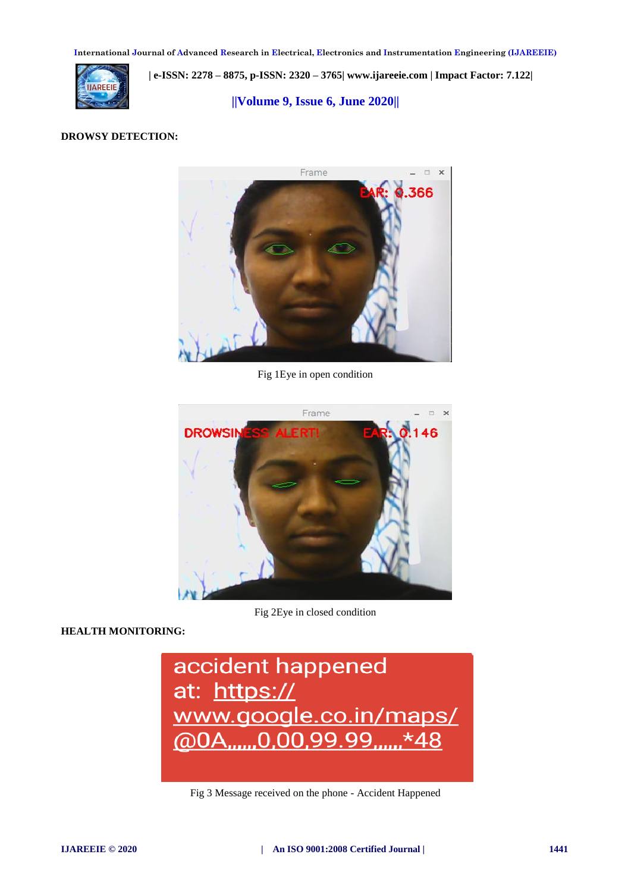

 **| e-ISSN: 2278 – 8875, p-ISSN: 2320 – 3765[| www.ijareeie.com](http://www.ijareeie.com/) | Impact Factor: 7.122|** 

**||Volume 9, Issue 6, June 2020||** 

## **DROWSY DETECTION:**



Fig 1Eye in open condition



**HEALTH MONITORING:**

Fig 2Eye in closed condition



Fig 3 Message received on the phone - Accident Happened